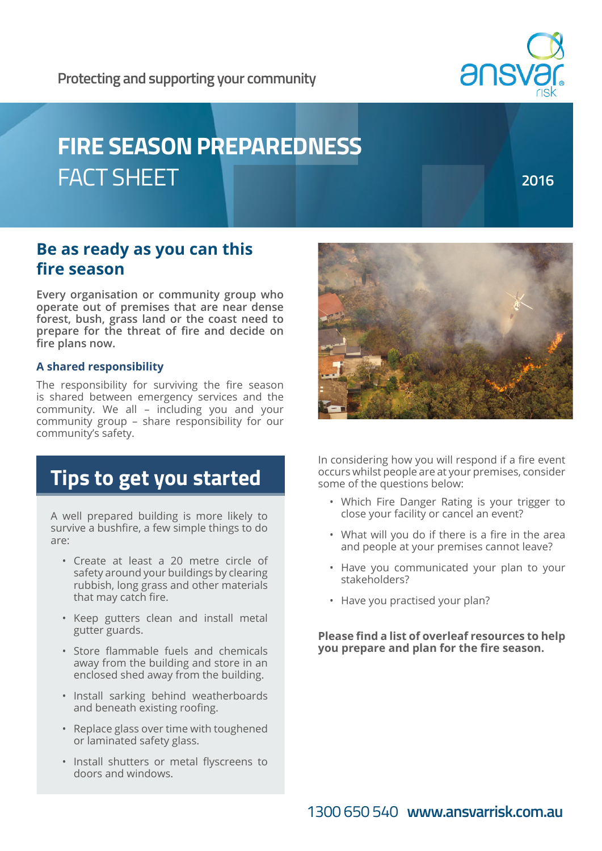

# **ansy**

# **FIRE SEASON PREPAREDNESS** FACT SHEET

**2016**

### **Be as ready as you can this fire season**

**Every organisation or community group who operate out of premises that are near dense forest, bush, grass land or the coast need to prepare for the threat of fire and decide on fire plans now.**

#### **A shared responsibility**

The responsibility for surviving the fire season is shared between emergency services and the community. We all – including you and your community group – share responsibility for our community's safety.



# **Tips to get you started**

A well prepared building is more likely to survive a bushfire, a few simple things to do are:

- Create at least a 20 metre circle of safety around your buildings by clearing rubbish, long grass and other materials that may catch fire.
- Keep gutters clean and install metal gutter guards.
- Store flammable fuels and chemicals away from the building and store in an enclosed shed away from the building.
- Install sarking behind weatherboards and beneath existing roofing.
- Replace glass over time with toughened or laminated safety glass.
- Install shutters or metal flyscreens to doors and windows.

In considering how you will respond if a fire event occurs whilst people are at your premises, consider some of the questions below:

- Which Fire Danger Rating is your trigger to close your facility or cancel an event?
- What will you do if there is a fire in the area and people at your premises cannot leave?
- Have you communicated your plan to your stakeholders?
- Have you practised your plan?

**Please find a list of overleaf resources to help you prepare and plan for the fire season.**